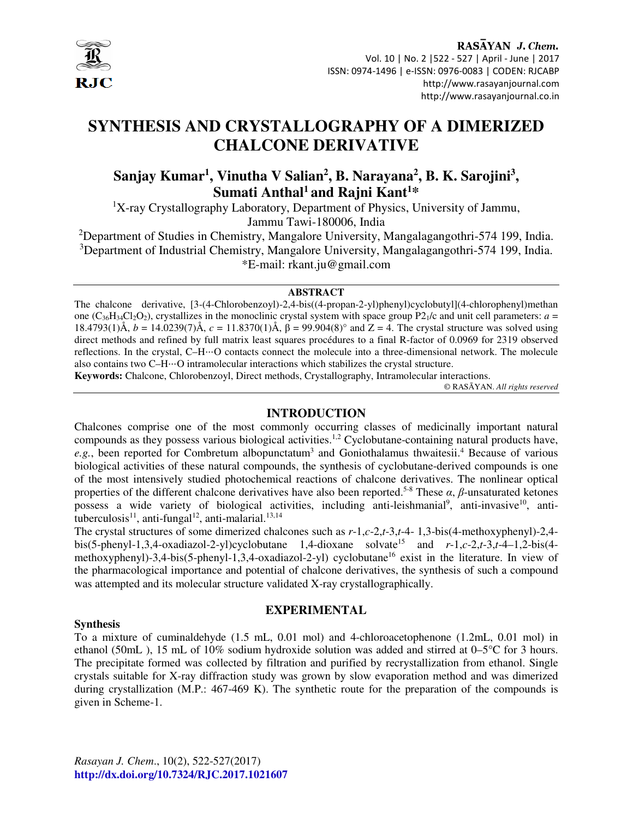

# **SYNTHESIS AND CRYSTALLOGRAPHY OF A DIMERIZED CHALCONE DERIVATIVE**

# **Sanjay Kumar<sup>1</sup> , Vinutha V Salian<sup>2</sup> , B. Narayana<sup>2</sup> , B. K. Sarojini<sup>3</sup> , Sumati Anthal<sup>1</sup>and Rajni Kant<sup>1</sup>\***

<sup>1</sup>X-ray Crystallography Laboratory, Department of Physics, University of Jammu, Jammu Tawi-180006, India

<sup>2</sup>Department of Studies in Chemistry, Mangalore University, Mangalagangothri-574 199, India. <sup>3</sup>Department of Industrial Chemistry, Mangalore University, Mangalagangothri-574 199, India. \*E-mail: rkant.ju@gmail.com

#### **ABSTRACT**

The chalcone derivative, [3-(4-Chlorobenzoyl)-2,4-bis((4-propan-2-yl)phenyl)cyclobutyl](4-chlorophenyl)methan one ( $C_{36}H_{34}Cl_2O_2$ ), crystallizes in the monoclinic crystal system with space group P2<sub>1</sub>/c and unit cell parameters:  $a =$ 18.4793(1)Å, *b* = 14.0239(7)Å, *c* = 11.8370(1)Å, β = 99.904(8)° and Z = 4. The crystal structure was solved using direct methods and refined by full matrix least squares procédures to a final R-factor of 0.0969 for 2319 observed reflections. In the crystal, C–H⋅⋅⋅O contacts connect the molecule into a three-dimensional network. The molecule also contains two C–H⋅⋅⋅O intramolecular interactions which stabilizes the crystal structure.

**Keywords:** Chalcone, Chlorobenzoyl, Direct methods, Crystallography, Intramolecular interactions.

© RASĀYAN. *All rights reserved*

#### **INTRODUCTION**

Chalcones comprise one of the most commonly occurring classes of medicinally important natural compounds as they possess various biological activities.1,2 Cyclobutane-containing natural products have, e.g., been reported for Combretum albopunctatum<sup>3</sup> and Goniothalamus thwaitesii.<sup>4</sup> Because of various biological activities of these natural compounds, the synthesis of cyclobutane-derived compounds is one of the most intensively studied photochemical reactions of chalcone derivatives. The nonlinear optical properties of the different chalcone derivatives have also been reported.5-8 These *α*, *β*-unsaturated ketones possess a wide variety of biological activities, including anti-leishmanial<sup>9</sup>, anti-invasive<sup>10</sup>, antituberculosis<sup>11</sup>, anti-fungal<sup>12</sup>, anti-malarial.<sup>13,14</sup>

The crystal structures of some dimerized chalcones such as *r*-1,*c*-2,*t*-3,*t*-4- 1,3-bis(4-methoxyphenyl)-2,4 bis(5-phenyl-1,3,4-oxadiazol-2-yl)cyclobutane 1,4-dioxane solvate<sup>15</sup> and  $r$ -1,*c*-2,*t*-3,*t*-4–1,2-bis(4methoxyphenyl)-3,4-bis(5-phenyl-1,3,4-oxadiazol-2-yl) cyclobutane<sup>16</sup> exist in the literature. In view of the pharmacological importance and potential of chalcone derivatives, the synthesis of such a compound was attempted and its molecular structure validated X-ray crystallographically.

**EXPERIMENTAL**

#### **Synthesis**

### To a mixture of cuminaldehyde (1.5 mL, 0.01 mol) and 4-chloroacetophenone (1.2mL, 0.01 mol) in ethanol (50mL ), 15 mL of 10% sodium hydroxide solution was added and stirred at 0–5°C for 3 hours. The precipitate formed was collected by filtration and purified by recrystallization from ethanol. Single crystals suitable for X-ray diffraction study was grown by slow evaporation method and was dimerized during crystallization (M.P.: 467-469 K). The synthetic route for the preparation of the compounds is given in Scheme-1.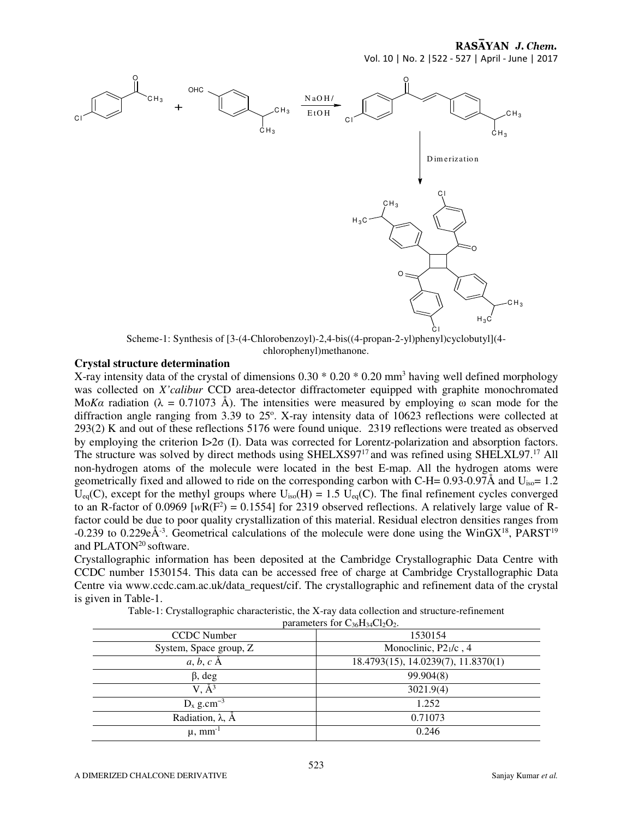RASAYAN J. Chem.

Vol. 10 | No. 2 |522 - 527 | April - June | 2017



Scheme-1: Synthesis of [3-(4-Chlorobenzoyl)-2,4-bis((4-propan-2-yl)phenyl)cyclobutyl](4 chlorophenyl)methanone.

#### **Crystal structure determination**

X-ray intensity data of the crystal of dimensions  $0.30 * 0.20 * 0.20$  mm<sup>3</sup> having well defined morphology was collected on *X'calibur* CCD area-detector diffractometer equipped with graphite monochromated Mo*Ka* radiation ( $\lambda = 0.71073$  Å). The intensities were measured by employing  $\omega$  scan mode for the diffraction angle ranging from  $3.39$  to  $25^\circ$ . X-ray intensity data of 10623 reflections were collected at 293(2) K and out of these reflections 5176 were found unique. 2319 reflections were treated as observed by employing the criterion I>2σ (I). Data was corrected for Lorentz-polarization and absorption factors. The structure was solved by direct methods using SHELXS97<sup>17</sup> and was refined using SHELXL97.<sup>17</sup> All non-hydrogen atoms of the molecule were located in the best E-map. All the hydrogen atoms were geometrically fixed and allowed to ride on the corresponding carbon with C-H=  $0.93{\text -}0.97\text{\AA}$  and U<sub>iso</sub>= 1.2  $U_{eq}(C)$ , except for the methyl groups where  $U_{iso}(H) = 1.5 \text{ U}_{eq}(C)$ . The final refinement cycles converged to an R-factor of 0.0969 [ $wR(F^2) = 0.1554$ ] for 2319 observed reflections. A relatively large value of Rfactor could be due to poor quality crystallization of this material. Residual electron densities ranges from -0.239 to 0.229e $\AA$ <sup>3</sup>. Geometrical calculations of the molecule were done using the WinGX<sup>18</sup>, PARST<sup>19</sup> and PLATON<sup>20</sup> software.

Crystallographic information has been deposited at the Cambridge Crystallographic Data Centre with CCDC number 1530154. This data can be accessed free of charge at Cambridge Crystallographic Data Centre via www.ccdc.cam.ac.uk/data\_request/cif. The crystallographic and refinement data of the crystal is given in Table-1.

Table-1: Crystallographic characteristic, the X-ray data collection and structure-refinement

parameters for  $C_{36}H_{34}Cl_2O_2$ .

| - 20--27--2-                 |                                     |  |
|------------------------------|-------------------------------------|--|
| <b>CCDC</b> Number           | 1530154                             |  |
| System, Space group, Z       | Monoclinic, $P21/c$ , 4             |  |
| $a, b, c$ A                  | 18.4793(15), 14.0239(7), 11.8370(1) |  |
| $\beta$ , deg                | 99.904(8)                           |  |
| $V, \AA^3$                   | 3021.9(4)                           |  |
| $D_x$ g.cm <sup>-3</sup>     | 1.252                               |  |
| Radiation, $\lambda$ , $\AA$ | 0.71073                             |  |
| $\mu$ , mm <sup>-1</sup>     | 0.246                               |  |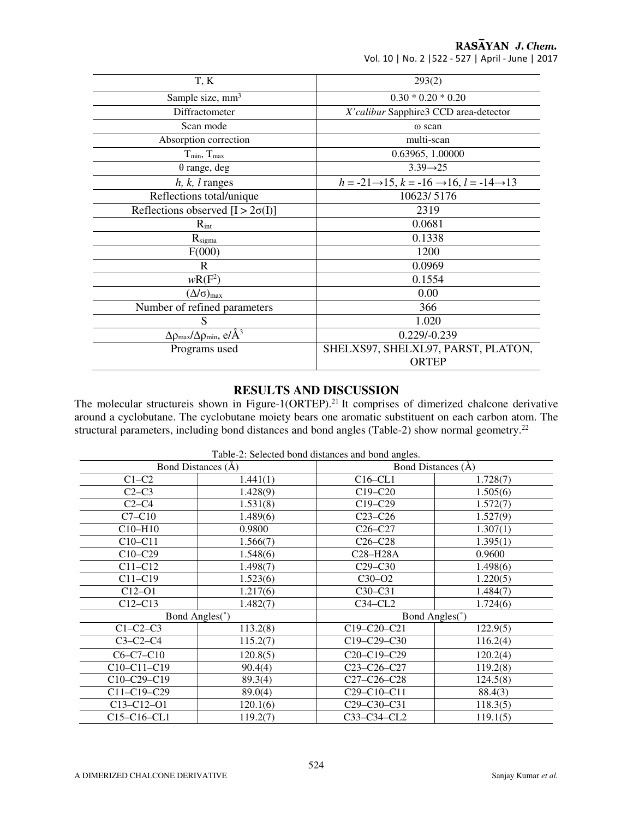RASĀYAN J. Chem.

| Vol. 10   No. 2   522 - 527   April - June   2017 |  |
|---------------------------------------------------|--|
|---------------------------------------------------|--|

| T, K                                                                | 293(2)                                                                         |
|---------------------------------------------------------------------|--------------------------------------------------------------------------------|
| Sample size, mm <sup>3</sup>                                        | $0.30 * 0.20 * 0.20$                                                           |
| Diffractometer                                                      | X'calibur Sapphire3 CCD area-detector                                          |
| Scan mode                                                           | ω scan                                                                         |
| Absorption correction                                               | multi-scan                                                                     |
| $T_{min}$ , $T_{max}$                                               | 0.63965, 1.00000                                                               |
| $\theta$ range, deg                                                 | $3.39 \rightarrow 25$                                                          |
| $h, k, l$ ranges                                                    | $h = -21 \rightarrow 15$ , $k = -16 \rightarrow 16$ , $l = -14 \rightarrow 13$ |
| Reflections total/unique                                            | 10623/5176                                                                     |
| Reflections observed $[I > 2\sigma(I)]$                             | 2319                                                                           |
| $R_{int}$                                                           | 0.0681                                                                         |
| $R_{\text{sigma}}$                                                  | 0.1338                                                                         |
| F(000)                                                              | 1200                                                                           |
| R                                                                   | 0.0969                                                                         |
| $wR(F^2)$                                                           | 0.1554                                                                         |
| $(\Delta/\sigma)_{\rm max}$                                         | 0.00                                                                           |
| Number of refined parameters                                        | 366                                                                            |
| S                                                                   | 1.020                                                                          |
| $\Delta \rho_{\text{max}}/\Delta \rho_{\text{min}}, e/\text{\AA}^3$ | $0.229/-0.239$                                                                 |
| Programs used                                                       | SHELXS97, SHELXL97, PARST, PLATON,<br><b>ORTEP</b>                             |

#### **RESULTS AND DISCUSSION**

The molecular structureis shown in Figure-1(ORTEP).<sup>21</sup> It comprises of dimerized chalcone derivative around a cyclobutane. The cyclobutane moiety bears one aromatic substituent on each carbon atom. The structural parameters, including bond distances and bond angles (Table-2) show normal geometry.<sup>22</sup>

| Table-2: Selected bond distances and bond angles. |                                  |                                                   |          |  |
|---------------------------------------------------|----------------------------------|---------------------------------------------------|----------|--|
| Bond Distances (A)                                |                                  | Bond Distances (A)                                |          |  |
| $C1-C2$                                           | 1.441(1)                         | $C16-CL1$                                         | 1.728(7) |  |
| $C2-C3$                                           | 1.428(9)                         | $C19-C20$                                         | 1.505(6) |  |
| $C2-C4$                                           | 1.531(8)                         | $C19-C29$                                         | 1.572(7) |  |
| $C7-C10$                                          | 1.489(6)                         | $C23-C26$                                         | 1.527(9) |  |
| C10-H10                                           | 0.9800                           | $C26-C27$                                         | 1.307(1) |  |
| $C10-C11$                                         | 1.566(7)                         | $C26-C28$                                         | 1.395(1) |  |
| $C10-C29$                                         | 1.548(6)                         | C <sub>28</sub> -H <sub>28</sub> A                | 0.9600   |  |
| $C11-C12$                                         | 1.498(7)                         | $C29-C30$                                         | 1.498(6) |  |
| $C11-C19$                                         | 1.523(6)                         | $C30-O2$                                          | 1.220(5) |  |
| $C12-O1$                                          | 1.217(6)                         | $C30-C31$                                         | 1.484(7) |  |
| $C12-C13$                                         | 1.482(7)                         | $C34-CL2$                                         | 1.724(6) |  |
|                                                   | Bond Angles(°)<br>Bond Angles(°) |                                                   |          |  |
| $C1-C2-C3$                                        | 113.2(8)                         | $C19 - C20 - C21$                                 | 122.9(5) |  |
| $C3-C2-C4$                                        | 115.2(7)                         | $C19 - C29 - C30$                                 | 116.2(4) |  |
| $C6-C7-C10$                                       | 120.8(5)                         | $C20 - C19 - C29$                                 | 120.2(4) |  |
| $C10-C11-C19$                                     | 90.4(4)                          | $C23-C26-C27$                                     | 119.2(8) |  |
| C10-C29-C19                                       | 89.3(4)                          | C27-C26-C28                                       | 124.5(8) |  |
| C11-C19-C29                                       | 89.0(4)                          | C <sub>29</sub> -C <sub>10</sub> -C <sub>11</sub> | 88.4(3)  |  |
| $C13 - C12 - O1$                                  | 120.1(6)                         | C <sub>29</sub> -C <sub>30</sub> -C <sub>31</sub> | 118.3(5) |  |
| C <sub>15</sub> -C <sub>16</sub> -C <sub>L1</sub> | 119.2(7)                         | C33-C34-CL2                                       | 119.1(5) |  |

Table-2: Selected bond distances and bond angles.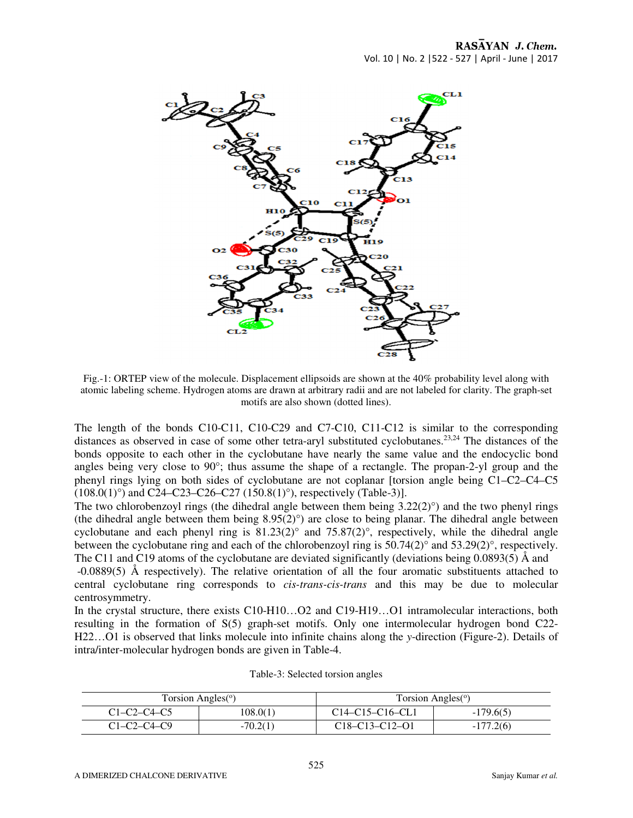

Fig.-1: ORTEP view of the molecule. Displacement ellipsoids are shown at the 40% probability level along with atomic labeling scheme. Hydrogen atoms are drawn at arbitrary radii and are not labeled for clarity. The graph-set motifs are also shown (dotted lines).

The length of the bonds C10-C11, C10-C29 and C7-C10, C11-C12 is similar to the corresponding distances as observed in case of some other tetra-aryl substituted cyclobutanes.<sup>23,24</sup> The distances of the bonds opposite to each other in the cyclobutane have nearly the same value and the endocyclic bond angles being very close to 90°; thus assume the shape of a rectangle. The propan-2-yl group and the phenyl rings lying on both sides of cyclobutane are not coplanar [torsion angle being C1–C2–C4–C5  $(108.0(1)°)$  and C24–C23–C26–C27  $(150.8(1)°)$ , respectively (Table-3)].

The two chlorobenzoyl rings (the dihedral angle between them being  $3.22(2)^\circ$ ) and the two phenyl rings (the dihedral angle between them being 8.95(2)°) are close to being planar. The dihedral angle between cyclobutane and each phenyl ring is  $81.23(2)^\circ$  and  $75.87(2)^\circ$ , respectively, while the dihedral angle between the cyclobutane ring and each of the chlorobenzoyl ring is 50.74(2)° and 53.29(2)°, respectively. The C11 and C19 atoms of the cyclobutane are deviated significantly (deviations being 0.0893(5) Å and

 -0.0889(5) Å respectively). The relative orientation of all the four aromatic substituents attached to central cyclobutane ring corresponds to *cis-trans-cis-trans* and this may be due to molecular centrosymmetry.

In the crystal structure, there exists C10-H10…O2 and C19-H19…O1 intramolecular interactions, both resulting in the formation of S(5) graph-set motifs. Only one intermolecular hydrogen bond C22- H22…O1 is observed that links molecule into infinite chains along the *y*-direction (Figure-2). Details of intra/inter-molecular hydrogen bonds are given in Table-4.

| Torsion Angles <sup>(o</sup> ) |            | Torsion Angles <sup>(<math>\circ</math>)</sup> |             |
|--------------------------------|------------|------------------------------------------------|-------------|
| $C1-C2-C4-C5$                  | 108.0(1)   | $C14 - C15 - C16 - C11$                        | $-179.6(5)$ |
| $C1-C2-C4-C9$                  | $-70.2(1)$ | $C18 - C13 - C12 - O1$                         | $-177.2(6)$ |

|  | Table-3: Selected torsion angles |  |  |
|--|----------------------------------|--|--|
|--|----------------------------------|--|--|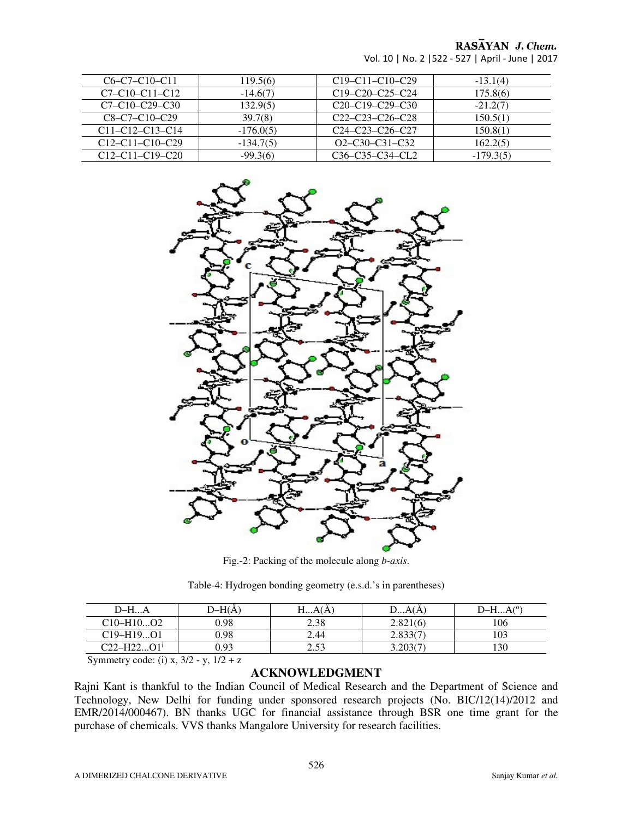## RASAYAN J. Chem.

| Vol. 10   No. 2   522 - 527   April - June   2017 |  |
|---------------------------------------------------|--|
|---------------------------------------------------|--|

| $C6 - C7 - C10 - C11$   | 119.5(6)    | $C19 - C11 - C10 - C29$ | $-13.1(4)$  |
|-------------------------|-------------|-------------------------|-------------|
| $C7 - C10 - C11 - C12$  | $-14.6(7)$  | $C19-C20-C25-C24$       | 175.8(6)    |
| $C7 - C10 - C29 - C30$  | 132.9(5)    | $C20-C19-C29-C30$       | $-21.2(7)$  |
| $C8 - C7 - C10 - C29$   | 39.7(8)     | $C22-C23-C26-C28$       | 150.5(1)    |
| $C11 - C12 - C13 - C14$ | $-176.0(5)$ | $C24 - C23 - C26 - C27$ | 150.8(1)    |
| $C12-C11-C10-C29$       | $-134.7(5)$ | $O2 - C30 - C31 - C32$  | 162.2(5)    |
| $C12 - C11 - C19 - C20$ | $-99.3(6)$  | $C36-C35-C34-CL2$       | $-179.3(5)$ |



Fig.-2: Packing of the molecule along *b-axis*.

| D–H…A                             | $D-H(A)$ | HA(A)              | DA(A)    | $D-HA^{(0)}$ |
|-----------------------------------|----------|--------------------|----------|--------------|
| $C10 - H10O2$                     | 0.98     | 2.38               | 2.821(6) | 106          |
| $C19 - H19O1$                     | 0.98     | 2.44               | 2.833(7) | 103          |
| $C22-H22.$<br>$^{\smallfrown}$ 11 | 0.93     | $\sim$ 50<br>ر د.پ | 3.203(7) | 130          |

Table-4: Hydrogen bonding geometry (e.s.d.'s in parentheses)

Symmetry code: (i) x,  $3/2 - y$ ,  $1/2 + z$ 

#### **ACKNOWLEDGMENT**

Rajni Kant is thankful to the Indian Council of Medical Research and the Department of Science and Technology, New Delhi for funding under sponsored research projects (No. BIC/12(14)/2012 and EMR/2014/000467). BN thanks UGC for financial assistance through BSR one time grant for the purchase of chemicals. VVS thanks Mangalore University for research facilities.